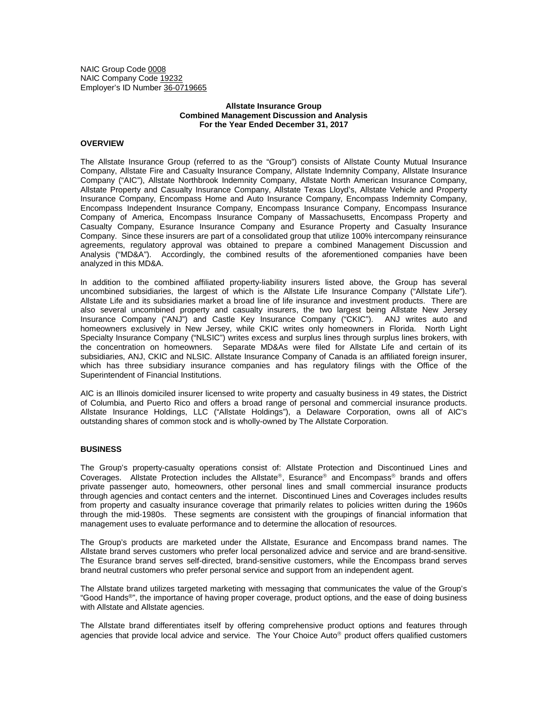NAIC Group Code 0008 NAIC Company Code 19232 Employer's ID Number 36-0719665

# **Allstate Insurance Group Combined Management Discussion and Analysis For the Year Ended December 31, 2017**

# **OVERVIEW**

The Allstate Insurance Group (referred to as the "Group") consists of Allstate County Mutual Insurance Company, Allstate Fire and Casualty Insurance Company, Allstate Indemnity Company, Allstate Insurance Company ("AIC"), Allstate Northbrook Indemnity Company, Allstate North American Insurance Company, Allstate Property and Casualty Insurance Company, Allstate Texas Lloyd's, Allstate Vehicle and Property Insurance Company, Encompass Home and Auto Insurance Company, Encompass Indemnity Company, Encompass Independent Insurance Company, Encompass Insurance Company, Encompass Insurance Company of America, Encompass Insurance Company of Massachusetts, Encompass Property and Casualty Company, Esurance Insurance Company and Esurance Property and Casualty Insurance Company. Since these insurers are part of a consolidated group that utilize 100% intercompany reinsurance agreements, regulatory approval was obtained to prepare a combined Management Discussion and Analysis ("MD&A"). Accordingly, the combined results of the aforementioned companies have been analyzed in this MD&A.

In addition to the combined affiliated property-liability insurers listed above, the Group has several uncombined subsidiaries, the largest of which is the Allstate Life Insurance Company ("Allstate Life"). Allstate Life and its subsidiaries market a broad line of life insurance and investment products. There are also several uncombined property and casualty insurers, the two largest being Allstate New Jersey Insurance Company ("ANJ") and Castle Key Insurance Company ("CKIC"). ANJ writes auto and homeowners exclusively in New Jersey, while CKIC writes only homeowners in Florida. North Light Specialty Insurance Company ("NLSIC") writes excess and surplus lines through surplus lines brokers, with the concentration on homeowners. Separate MD&As were filed for Allstate Life and certain of its subsidiaries, ANJ, CKIC and NLSIC. Allstate Insurance Company of Canada is an affiliated foreign insurer, which has three subsidiary insurance companies and has regulatory filings with the Office of the Superintendent of Financial Institutions.

AIC is an Illinois domiciled insurer licensed to write property and casualty business in 49 states, the District of Columbia, and Puerto Rico and offers a broad range of personal and commercial insurance products. Allstate Insurance Holdings, LLC ("Allstate Holdings"), a Delaware Corporation, owns all of AIC's outstanding shares of common stock and is wholly-owned by The Allstate Corporation.

### **BUSINESS**

The Group's property-casualty operations consist of: Allstate Protection and Discontinued Lines and Coverages. Allstate Protection includes the Allstate®, Esurance® and Encompass® brands and offers private passenger auto, homeowners, other personal lines and small commercial insurance products through agencies and contact centers and the internet. Discontinued Lines and Coverages includes results from property and casualty insurance coverage that primarily relates to policies written during the 1960s through the mid-1980s. These segments are consistent with the groupings of financial information that management uses to evaluate performance and to determine the allocation of resources.

The Group's products are marketed under the Allstate, Esurance and Encompass brand names. The Allstate brand serves customers who prefer local personalized advice and service and are brand-sensitive. The Esurance brand serves self-directed, brand-sensitive customers, while the Encompass brand serves brand neutral customers who prefer personal service and support from an independent agent.

The Allstate brand utilizes targeted marketing with messaging that communicates the value of the Group's "Good Hands®", the importance of having proper coverage, product options, and the ease of doing business with Allstate and Allstate agencies.

The Allstate brand differentiates itself by offering comprehensive product options and features through agencies that provide local advice and service. The Your Choice Auto<sup>®</sup> product offers qualified customers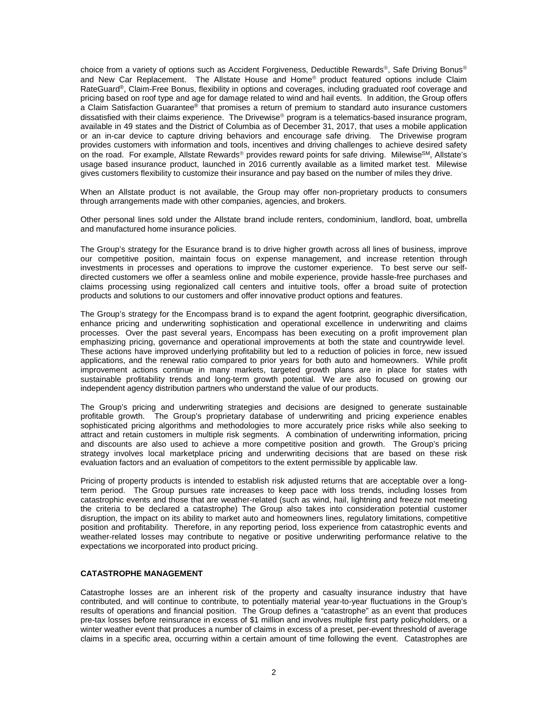choice from a variety of options such as Accident Forgiveness, Deductible Rewards®, Safe Driving Bonus® and New Car Replacement. The Allstate House and Home® product featured options include Claim RateGuard<sup>®</sup>, Claim-Free Bonus, flexibility in options and coverages, including graduated roof coverage and pricing based on roof type and age for damage related to wind and hail events. In addition, the Group offers a Claim Satisfaction Guarantee® that promises a return of premium to standard auto insurance customers dissatisfied with their claims experience. The Drivewise® program is a telematics-based insurance program, available in 49 states and the District of Columbia as of December 31, 2017, that uses a mobile application or an in-car device to capture driving behaviors and encourage safe driving. The Drivewise program provides customers with information and tools, incentives and driving challenges to achieve desired safety on the road. For example, Allstate Rewards® provides reward points for safe driving. Milewise<sup>SM</sup>, Allstate's usage based insurance product, launched in 2016 currently available as a limited market test. Milewise gives customers flexibility to customize their insurance and pay based on the number of miles they drive.

When an Allstate product is not available, the Group may offer non-proprietary products to consumers through arrangements made with other companies, agencies, and brokers.

Other personal lines sold under the Allstate brand include renters, condominium, landlord, boat, umbrella and manufactured home insurance policies.

The Group's strategy for the Esurance brand is to drive higher growth across all lines of business, improve our competitive position, maintain focus on expense management, and increase retention through investments in processes and operations to improve the customer experience. To best serve our selfdirected customers we offer a seamless online and mobile experience, provide hassle-free purchases and claims processing using regionalized call centers and intuitive tools, offer a broad suite of protection products and solutions to our customers and offer innovative product options and features.

The Group's strategy for the Encompass brand is to expand the agent footprint, geographic diversification, enhance pricing and underwriting sophistication and operational excellence in underwriting and claims processes. Over the past several years, Encompass has been executing on a profit improvement plan emphasizing pricing, governance and operational improvements at both the state and countrywide level. These actions have improved underlying profitability but led to a reduction of policies in force, new issued applications, and the renewal ratio compared to prior years for both auto and homeowners. While profit improvement actions continue in many markets, targeted growth plans are in place for states with sustainable profitability trends and long-term growth potential. We are also focused on growing our independent agency distribution partners who understand the value of our products.

The Group's pricing and underwriting strategies and decisions are designed to generate sustainable profitable growth. The Group's proprietary database of underwriting and pricing experience enables sophisticated pricing algorithms and methodologies to more accurately price risks while also seeking to attract and retain customers in multiple risk segments. A combination of underwriting information, pricing and discounts are also used to achieve a more competitive position and growth. The Group's pricing strategy involves local marketplace pricing and underwriting decisions that are based on these risk evaluation factors and an evaluation of competitors to the extent permissible by applicable law.

Pricing of property products is intended to establish risk adjusted returns that are acceptable over a longterm period. The Group pursues rate increases to keep pace with loss trends, including losses from catastrophic events and those that are weather-related (such as wind, hail, lightning and freeze not meeting the criteria to be declared a catastrophe) The Group also takes into consideration potential customer disruption, the impact on its ability to market auto and homeowners lines, regulatory limitations, competitive position and profitability. Therefore, in any reporting period, loss experience from catastrophic events and weather-related losses may contribute to negative or positive underwriting performance relative to the expectations we incorporated into product pricing.

### **CATASTROPHE MANAGEMENT**

Catastrophe losses are an inherent risk of the property and casualty insurance industry that have contributed, and will continue to contribute, to potentially material year-to-year fluctuations in the Group's results of operations and financial position. The Group defines a "catastrophe" as an event that produces pre-tax losses before reinsurance in excess of \$1 million and involves multiple first party policyholders, or a winter weather event that produces a number of claims in excess of a preset, per-event threshold of average claims in a specific area, occurring within a certain amount of time following the event. Catastrophes are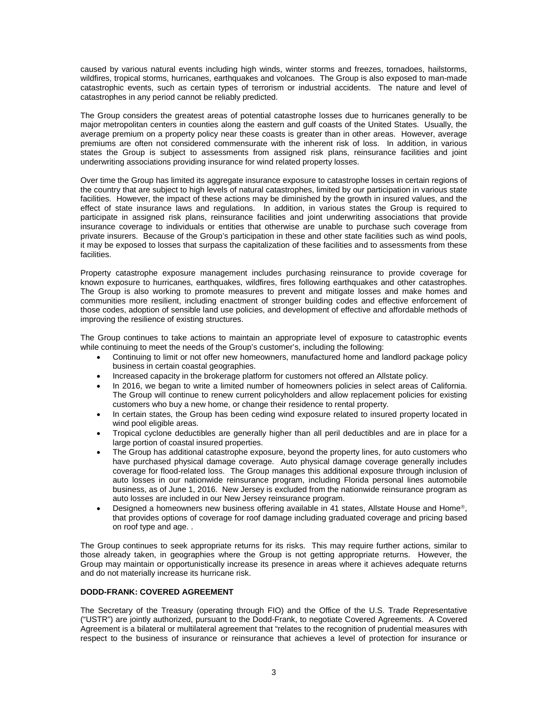caused by various natural events including high winds, winter storms and freezes, tornadoes, hailstorms, wildfires, tropical storms, hurricanes, earthquakes and volcanoes. The Group is also exposed to man-made catastrophic events, such as certain types of terrorism or industrial accidents. The nature and level of catastrophes in any period cannot be reliably predicted.

The Group considers the greatest areas of potential catastrophe losses due to hurricanes generally to be major metropolitan centers in counties along the eastern and gulf coasts of the United States. Usually, the average premium on a property policy near these coasts is greater than in other areas. However, average premiums are often not considered commensurate with the inherent risk of loss. In addition, in various states the Group is subject to assessments from assigned risk plans, reinsurance facilities and joint underwriting associations providing insurance for wind related property losses.

Over time the Group has limited its aggregate insurance exposure to catastrophe losses in certain regions of the country that are subject to high levels of natural catastrophes, limited by our participation in various state facilities. However, the impact of these actions may be diminished by the growth in insured values, and the effect of state insurance laws and regulations. In addition, in various states the Group is required to participate in assigned risk plans, reinsurance facilities and joint underwriting associations that provide insurance coverage to individuals or entities that otherwise are unable to purchase such coverage from private insurers. Because of the Group's participation in these and other state facilities such as wind pools, it may be exposed to losses that surpass the capitalization of these facilities and to assessments from these facilities.

Property catastrophe exposure management includes purchasing reinsurance to provide coverage for known exposure to hurricanes, earthquakes, wildfires, fires following earthquakes and other catastrophes. The Group is also working to promote measures to prevent and mitigate losses and make homes and communities more resilient, including enactment of stronger building codes and effective enforcement of those codes, adoption of sensible land use policies, and development of effective and affordable methods of improving the resilience of existing structures.

The Group continues to take actions to maintain an appropriate level of exposure to catastrophic events while continuing to meet the needs of the Group's customer's, including the following:

- Continuing to limit or not offer new homeowners, manufactured home and landlord package policy business in certain coastal geographies.
- Increased capacity in the brokerage platform for customers not offered an Allstate policy.
- In 2016, we began to write a limited number of homeowners policies in select areas of California. The Group will continue to renew current policyholders and allow replacement policies for existing customers who buy a new home, or change their residence to rental property.
- In certain states, the Group has been ceding wind exposure related to insured property located in wind pool eligible areas.
- Tropical cyclone deductibles are generally higher than all peril deductibles and are in place for a large portion of coastal insured properties.
- The Group has additional catastrophe exposure, beyond the property lines, for auto customers who have purchased physical damage coverage. Auto physical damage coverage generally includes coverage for flood-related loss. The Group manages this additional exposure through inclusion of auto losses in our nationwide reinsurance program, including Florida personal lines automobile business, as of June 1, 2016. New Jersey is excluded from the nationwide reinsurance program as auto losses are included in our New Jersey reinsurance program.
- Designed a homeowners new business offering available in 41 states, Allstate House and Home®, that provides options of coverage for roof damage including graduated coverage and pricing based on roof type and age. .

The Group continues to seek appropriate returns for its risks. This may require further actions, similar to those already taken, in geographies where the Group is not getting appropriate returns. However, the Group may maintain or opportunistically increase its presence in areas where it achieves adequate returns and do not materially increase its hurricane risk.

# **DODD-FRANK: COVERED AGREEMENT**

The Secretary of the Treasury (operating through FIO) and the Office of the U.S. Trade Representative ("USTR") are jointly authorized, pursuant to the Dodd-Frank, to negotiate Covered Agreements. A Covered Agreement is a bilateral or multilateral agreement that "relates to the recognition of prudential measures with respect to the business of insurance or reinsurance that achieves a level of protection for insurance or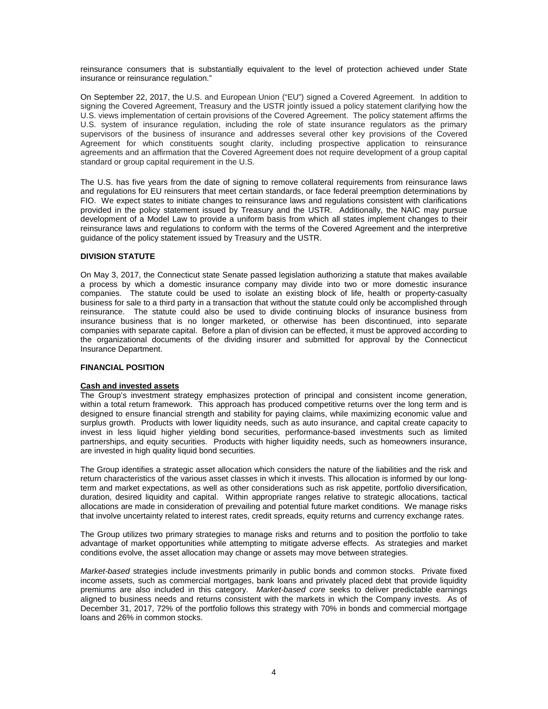reinsurance consumers that is substantially equivalent to the level of protection achieved under State insurance or reinsurance regulation."

On September 22, 2017, the U.S. and European Union ("EU") signed a Covered Agreement. In addition to signing the Covered Agreement, Treasury and the USTR jointly issued a policy statement clarifying how the U.S. views implementation of certain provisions of the Covered Agreement. The policy statement affirms the U.S. system of insurance regulation, including the role of state insurance regulators as the primary supervisors of the business of insurance and addresses several other key provisions of the Covered Agreement for which constituents sought clarity, including prospective application to reinsurance agreements and an affirmation that the Covered Agreement does not require development of a group capital standard or group capital requirement in the U.S.

The U.S. has five years from the date of signing to remove collateral requirements from reinsurance laws and regulations for EU reinsurers that meet certain standards, or face federal preemption determinations by FIO. We expect states to initiate changes to reinsurance laws and regulations consistent with clarifications provided in the policy statement issued by Treasury and the USTR. Additionally, the NAIC may pursue development of a Model Law to provide a uniform basis from which all states implement changes to their reinsurance laws and regulations to conform with the terms of the Covered Agreement and the interpretive guidance of the policy statement issued by Treasury and the USTR.

# **DIVISION STATUTE**

On May 3, 2017, the Connecticut state Senate passed legislation authorizing a statute that makes available a process by which a domestic insurance company may divide into two or more domestic insurance companies. The statute could be used to isolate an existing block of life, health or property-casualty business for sale to a third party in a transaction that without the statute could only be accomplished through reinsurance. The statute could also be used to divide continuing blocks of insurance business from insurance business that is no longer marketed, or otherwise has been discontinued, into separate companies with separate capital. Before a plan of division can be effected, it must be approved according to the organizational documents of the dividing insurer and submitted for approval by the Connecticut Insurance Department.

# **FINANCIAL POSITION**

# **Cash and invested assets**

The Group's investment strategy emphasizes protection of principal and consistent income generation, within a total return framework. This approach has produced competitive returns over the long term and is designed to ensure financial strength and stability for paying claims, while maximizing economic value and surplus growth. Products with lower liquidity needs, such as auto insurance, and capital create capacity to invest in less liquid higher yielding bond securities, performance-based investments such as limited partnerships, and equity securities. Products with higher liquidity needs, such as homeowners insurance, are invested in high quality liquid bond securities.

The Group identifies a strategic asset allocation which considers the nature of the liabilities and the risk and return characteristics of the various asset classes in which it invests. This allocation is informed by our longterm and market expectations, as well as other considerations such as risk appetite, portfolio diversification, duration, desired liquidity and capital. Within appropriate ranges relative to strategic allocations, tactical allocations are made in consideration of prevailing and potential future market conditions. We manage risks that involve uncertainty related to interest rates, credit spreads, equity returns and currency exchange rates.

The Group utilizes two primary strategies to manage risks and returns and to position the portfolio to take advantage of market opportunities while attempting to mitigate adverse effects. As strategies and market conditions evolve, the asset allocation may change or assets may move between strategies.

*Market-based* strategies include investments primarily in public bonds and common stocks. Private fixed income assets, such as commercial mortgages, bank loans and privately placed debt that provide liquidity premiums are also included in this category. *Market-based core* seeks to deliver predictable earnings aligned to business needs and returns consistent with the markets in which the Company invests. As of December 31, 2017, 72% of the portfolio follows this strategy with 70% in bonds and commercial mortgage loans and 26% in common stocks.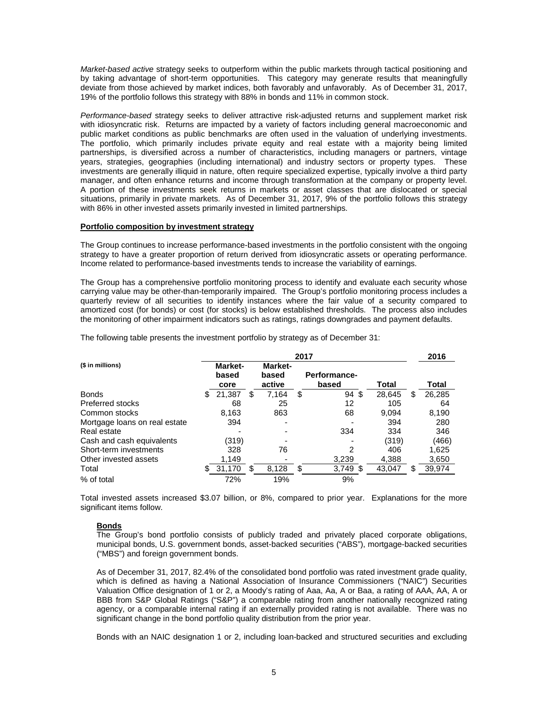*Market-based active* strategy seeks to outperform within the public markets through tactical positioning and by taking advantage of short-term opportunities. This category may generate results that meaningfully deviate from those achieved by market indices, both favorably and unfavorably. As of December 31, 2017, 19% of the portfolio follows this strategy with 88% in bonds and 11% in common stock.

*Performance-based* strategy seeks to deliver attractive risk-adjusted returns and supplement market risk with idiosyncratic risk. Returns are impacted by a variety of factors including general macroeconomic and public market conditions as public benchmarks are often used in the valuation of underlying investments. The portfolio, which primarily includes private equity and real estate with a majority being limited partnerships, is diversified across a number of characteristics, including managers or partners, vintage years, strategies, geographies (including international) and industry sectors or property types. These investments are generally illiquid in nature, often require specialized expertise, typically involve a third party manager, and often enhance returns and income through transformation at the company or property level. A portion of these investments seek returns in markets or asset classes that are dislocated or special situations, primarily in private markets. As of December 31, 2017, 9% of the portfolio follows this strategy with 86% in other invested assets primarily invested in limited partnerships.

#### **Portfolio composition by investment strategy**

The Group continues to increase performance-based investments in the portfolio consistent with the ongoing strategy to have a greater proportion of return derived from idiosyncratic assets or operating performance. Income related to performance-based investments tends to increase the variability of earnings.

The Group has a comprehensive portfolio monitoring process to identify and evaluate each security whose carrying value may be other-than-temporarily impaired. The Group's portfolio monitoring process includes a quarterly review of all securities to identify instances where the fair value of a security compared to amortized cost (for bonds) or cost (for stocks) is below established thresholds. The process also includes the monitoring of other impairment indicators such as ratings, ratings downgrades and payment defaults.

The following table presents the investment portfolio by strategy as of December 31:

|                               |    |                                 |    |                            | 2017                         |        | 2016         |
|-------------------------------|----|---------------------------------|----|----------------------------|------------------------------|--------|--------------|
| (\$ in millions)              |    | <b>Market-</b><br>based<br>core |    | Market-<br>based<br>active | <b>Performance-</b><br>based | Total  | <b>Total</b> |
| <b>Bonds</b>                  | S. | 21,387                          | \$ | 7.164                      | \$<br>94 \$                  | 28.645 | \$<br>26,285 |
| Preferred stocks              |    | 68                              |    | 25                         | 12                           | 105    | 64           |
| Common stocks                 |    | 8,163                           |    | 863                        | 68                           | 9.094  | 8,190        |
| Mortgage loans on real estate |    | 394                             |    |                            |                              | 394    | 280          |
| Real estate                   |    |                                 |    |                            | 334                          | 334    | 346          |
| Cash and cash equivalents     |    | (319)                           |    |                            |                              | (319)  | (466)        |
| Short-term investments        |    | 328                             |    | 76                         | 2                            | 406    | 1,625        |
| Other invested assets         |    | 1,149                           |    |                            | 3,239                        | 4,388  | 3,650        |
| Total                         |    | 31,170                          | S  | 8,128                      | \$<br>$3,749$ \$             | 43,047 | \$<br>39,974 |
| % of total                    |    | 72%                             |    | 19%                        | 9%                           |        |              |

Total invested assets increased \$3.07 billion, or 8%, compared to prior year. Explanations for the more significant items follow.

# **Bonds**

The Group's bond portfolio consists of publicly traded and privately placed corporate obligations, municipal bonds, U.S. government bonds, asset-backed securities ("ABS"), mortgage-backed securities ("MBS") and foreign government bonds.

As of December 31, 2017, 82.4% of the consolidated bond portfolio was rated investment grade quality, which is defined as having a National Association of Insurance Commissioners ("NAIC") Securities Valuation Office designation of 1 or 2, a Moody's rating of Aaa, Aa, A or Baa, a rating of AAA, AA, A or BBB from S&P Global Ratings ("S&P") a comparable rating from another nationally recognized rating agency, or a comparable internal rating if an externally provided rating is not available. There was no significant change in the bond portfolio quality distribution from the prior year.

Bonds with an NAIC designation 1 or 2, including loan-backed and structured securities and excluding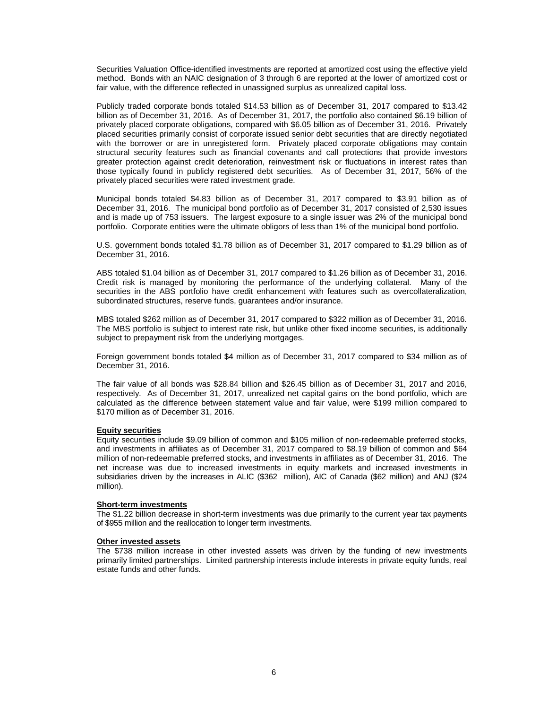Securities Valuation Office-identified investments are reported at amortized cost using the effective yield method. Bonds with an NAIC designation of 3 through 6 are reported at the lower of amortized cost or fair value, with the difference reflected in unassigned surplus as unrealized capital loss.

Publicly traded corporate bonds totaled \$14.53 billion as of December 31, 2017 compared to \$13.42 billion as of December 31, 2016. As of December 31, 2017, the portfolio also contained \$6.19 billion of privately placed corporate obligations, compared with \$6.05 billion as of December 31, 2016. Privately placed securities primarily consist of corporate issued senior debt securities that are directly negotiated with the borrower or are in unregistered form. Privately placed corporate obligations may contain structural security features such as financial covenants and call protections that provide investors greater protection against credit deterioration, reinvestment risk or fluctuations in interest rates than those typically found in publicly registered debt securities. As of December 31, 2017, 56% of the privately placed securities were rated investment grade.

Municipal bonds totaled \$4.83 billion as of December 31, 2017 compared to \$3.91 billion as of December 31, 2016. The municipal bond portfolio as of December 31, 2017 consisted of 2,530 issues and is made up of 753 issuers. The largest exposure to a single issuer was 2% of the municipal bond portfolio. Corporate entities were the ultimate obligors of less than 1% of the municipal bond portfolio.

U.S. government bonds totaled \$1.78 billion as of December 31, 2017 compared to \$1.29 billion as of December 31, 2016.

ABS totaled \$1.04 billion as of December 31, 2017 compared to \$1.26 billion as of December 31, 2016. Credit risk is managed by monitoring the performance of the underlying collateral. Many of the securities in the ABS portfolio have credit enhancement with features such as overcollateralization, subordinated structures, reserve funds, guarantees and/or insurance.

MBS totaled \$262 million as of December 31, 2017 compared to \$322 million as of December 31, 2016. The MBS portfolio is subject to interest rate risk, but unlike other fixed income securities, is additionally subject to prepayment risk from the underlying mortgages.

Foreign government bonds totaled \$4 million as of December 31, 2017 compared to \$34 million as of December 31, 2016.

The fair value of all bonds was \$28.84 billion and \$26.45 billion as of December 31, 2017 and 2016, respectively. As of December 31, 2017, unrealized net capital gains on the bond portfolio, which are calculated as the difference between statement value and fair value, were \$199 million compared to \$170 million as of December 31, 2016.

#### **Equity securities**

Equity securities include \$9.09 billion of common and \$105 million of non-redeemable preferred stocks, and investments in affiliates as of December 31, 2017 compared to \$8.19 billion of common and \$64 million of non-redeemable preferred stocks, and investments in affiliates as of December 31, 2016. The net increase was due to increased investments in equity markets and increased investments in subsidiaries driven by the increases in ALIC (\$362 million), AIC of Canada (\$62 million) and ANJ (\$24 million).

#### **Short-term investments**

The \$1.22 billion decrease in short-term investments was due primarily to the current year tax payments of \$955 million and the reallocation to longer term investments.

#### **Other invested assets**

The \$738 million increase in other invested assets was driven by the funding of new investments primarily limited partnerships. Limited partnership interests include interests in private equity funds, real estate funds and other funds.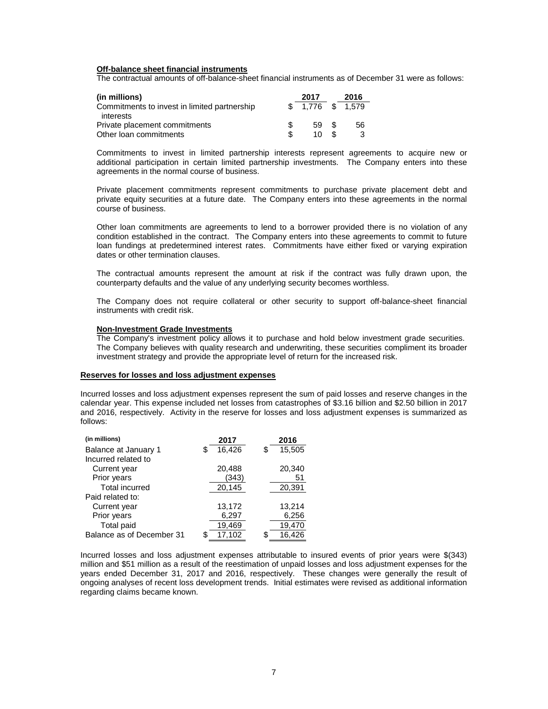#### **Off-balance sheet financial instruments**

The contractual amounts of off-balance-sheet financial instruments as of December 31 were as follows:

| (in millions)                                | 2017              |     | 2016 |
|----------------------------------------------|-------------------|-----|------|
| Commitments to invest in limited partnership | $$1.776$ $$1.579$ |     |      |
| interests                                    |                   |     |      |
| Private placement commitments                | 59 \$             |     | 56   |
| Other loan commitments                       | 10.               | . Պ | 3    |

Commitments to invest in limited partnership interests represent agreements to acquire new or additional participation in certain limited partnership investments. The Company enters into these agreements in the normal course of business.

Private placement commitments represent commitments to purchase private placement debt and private equity securities at a future date. The Company enters into these agreements in the normal course of business.

Other loan commitments are agreements to lend to a borrower provided there is no violation of any condition established in the contract. The Company enters into these agreements to commit to future loan fundings at predetermined interest rates. Commitments have either fixed or varying expiration dates or other termination clauses.

The contractual amounts represent the amount at risk if the contract was fully drawn upon, the counterparty defaults and the value of any underlying security becomes worthless.

The Company does not require collateral or other security to support off-balance-sheet financial instruments with credit risk.

#### **Non-Investment Grade Investments**

The Company's investment policy allows it to purchase and hold below investment grade securities. The Company believes with quality research and underwriting, these securities compliment its broader investment strategy and provide the appropriate level of return for the increased risk.

#### **Reserves for losses and loss adjustment expenses**

Incurred losses and loss adjustment expenses represent the sum of paid losses and reserve changes in the calendar year. This expense included net losses from catastrophes of \$3.16 billion and \$2.50 billion in 2017 and 2016, respectively. Activity in the reserve for losses and loss adjustment expenses is summarized as follows:

| (in millions)             | 2017         |   | 2016   |
|---------------------------|--------------|---|--------|
| Balance at January 1      | 16,426<br>S  | S | 15,505 |
| Incurred related to       |              |   |        |
| Current year              | 20,488       |   | 20,340 |
| Prior years               | (343)        |   | 51     |
| <b>Total incurred</b>     | 20,145       |   | 20,391 |
| Paid related to:          |              |   |        |
| Current year              | 13,172       |   | 13,214 |
| Prior years               | 6,297        |   | 6,256  |
| Total paid                | 19,469       |   | 19,470 |
| Balance as of December 31 | 17.102<br>\$ |   | 16.426 |

Incurred losses and loss adjustment expenses attributable to insured events of prior years were \$(343) million and \$51 million as a result of the reestimation of unpaid losses and loss adjustment expenses for the years ended December 31, 2017 and 2016, respectively. These changes were generally the result of ongoing analyses of recent loss development trends. Initial estimates were revised as additional information regarding claims became known.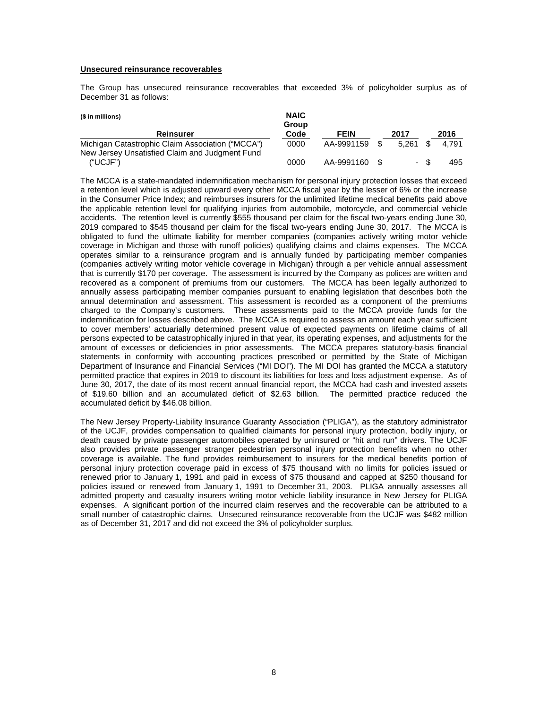# **Unsecured reinsurance recoverables**

The Group has unsecured reinsurance recoverables that exceeded 3% of policyholder surplus as of December 31 as follows:

| (\$ in millions)                                 | <b>NAIC</b><br>Group |               |      |       |      |       |
|--------------------------------------------------|----------------------|---------------|------|-------|------|-------|
| <b>Reinsurer</b>                                 | Code                 | <b>FEIN</b>   |      | 2017  |      | 2016  |
| Michigan Catastrophic Claim Association ("MCCA") | 0000                 | AA-9991159    | - \$ | 5.261 |      | 4.791 |
| New Jersey Unsatisfied Claim and Judgment Fund   |                      |               |      |       |      |       |
| ("UCJF")                                         | 0000                 | AA-9991160 \$ |      |       | - \$ | 495   |

The MCCA is a state-mandated indemnification mechanism for personal injury protection losses that exceed a retention level which is adjusted upward every other MCCA fiscal year by the lesser of 6% or the increase in the Consumer Price Index; and reimburses insurers for the unlimited lifetime medical benefits paid above the applicable retention level for qualifying injuries from automobile, motorcycle, and commercial vehicle accidents. The retention level is currently \$555 thousand per claim for the fiscal two-years ending June 30, 2019 compared to \$545 thousand per claim for the fiscal two-years ending June 30, 2017. The MCCA is obligated to fund the ultimate liability for member companies (companies actively writing motor vehicle coverage in Michigan and those with runoff policies) qualifying claims and claims expenses. The MCCA operates similar to a reinsurance program and is annually funded by participating member companies (companies actively writing motor vehicle coverage in Michigan) through a per vehicle annual assessment that is currently \$170 per coverage. The assessment is incurred by the Company as polices are written and recovered as a component of premiums from our customers. The MCCA has been legally authorized to annually assess participating member companies pursuant to enabling legislation that describes both the annual determination and assessment. This assessment is recorded as a component of the premiums charged to the Company's customers. These assessments paid to the MCCA provide funds for the indemnification for losses described above. The MCCA is required to assess an amount each year sufficient to cover members' actuarially determined present value of expected payments on lifetime claims of all persons expected to be catastrophically injured in that year, its operating expenses, and adjustments for the amount of excesses or deficiencies in prior assessments. The MCCA prepares statutory-basis financial statements in conformity with accounting practices prescribed or permitted by the State of Michigan Department of Insurance and Financial Services ("MI DOI"). The MI DOI has granted the MCCA a statutory permitted practice that expires in 2019 to discount its liabilities for loss and loss adjustment expense. As of June 30, 2017, the date of its most recent annual financial report, the MCCA had cash and invested assets of \$19.60 billion and an accumulated deficit of \$2.63 billion. The permitted practice reduced the accumulated deficit by \$46.08 billion.

The New Jersey Property-Liability Insurance Guaranty Association ("PLIGA"), as the statutory administrator of the UCJF, provides compensation to qualified claimants for personal injury protection, bodily injury, or death caused by private passenger automobiles operated by uninsured or "hit and run" drivers. The UCJF also provides private passenger stranger pedestrian personal injury protection benefits when no other coverage is available. The fund provides reimbursement to insurers for the medical benefits portion of personal injury protection coverage paid in excess of \$75 thousand with no limits for policies issued or renewed prior to January 1, 1991 and paid in excess of \$75 thousand and capped at \$250 thousand for policies issued or renewed from January 1, 1991 to December 31, 2003. PLIGA annually assesses all admitted property and casualty insurers writing motor vehicle liability insurance in New Jersey for PLIGA expenses. A significant portion of the incurred claim reserves and the recoverable can be attributed to a small number of catastrophic claims. Unsecured reinsurance recoverable from the UCJF was \$482 million as of December 31, 2017 and did not exceed the 3% of policyholder surplus.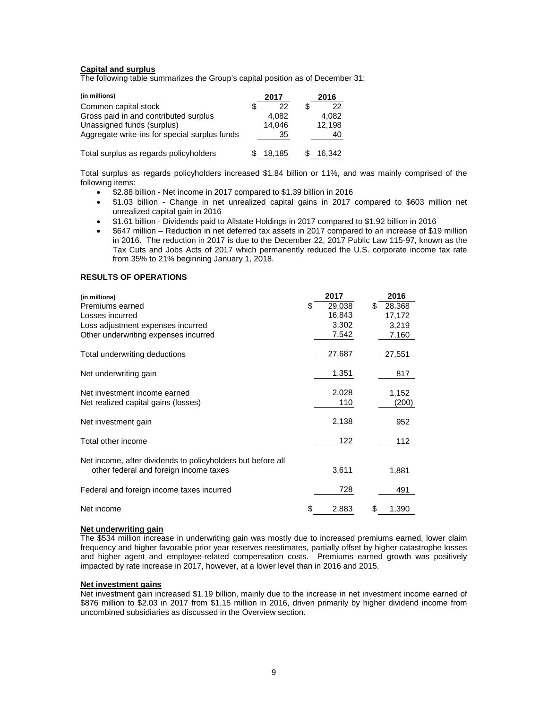# **Capital and surplus**

The following table summarizes the Group's capital position as of December 31:

| (in millions)                                 |   | 2017   | 2016   |  |  |  |
|-----------------------------------------------|---|--------|--------|--|--|--|
| Common capital stock                          | S | 22     | 22     |  |  |  |
| Gross paid in and contributed surplus         |   | 4.082  | 4.082  |  |  |  |
| Unassigned funds (surplus)                    |   | 14.046 | 12.198 |  |  |  |
| Aggregate write-ins for special surplus funds |   | 35     | 40     |  |  |  |
| Total surplus as regards policyholders        |   | 18.185 | 16.342 |  |  |  |

Total surplus as regards policyholders increased \$1.84 billion or 11%, and was mainly comprised of the following items:

- \$2.88 billion Net income in 2017 compared to \$1.39 billion in 2016
- \$1.03 billion Change in net unrealized capital gains in 2017 compared to \$603 million net unrealized capital gain in 2016
- \$1.61 billion Dividends paid to Allstate Holdings in 2017 compared to \$1.92 billion in 2016
- \$647 million Reduction in net deferred tax assets in 2017 compared to an increase of \$19 million in 2016. The reduction in 2017 is due to the December 22, 2017 Public Law 115-97, known as the Tax Cuts and Jobs Acts of 2017 which permanently reduced the U.S. corporate income tax rate from 35% to 21% beginning January 1, 2018.

#### **RESULTS OF OPERATIONS**

| (in millions)                                               |    | 2017   | 2016         |
|-------------------------------------------------------------|----|--------|--------------|
| Premiums earned                                             | S  | 29,038 | \$<br>28,368 |
| Losses incurred                                             |    | 16,843 | 17,172       |
| Loss adjustment expenses incurred                           |    | 3,302  | 3,219        |
| Other underwriting expenses incurred                        |    | 7,542  | 7,160        |
| Total underwriting deductions                               |    | 27,687 | 27,551       |
| Net underwriting gain                                       |    | 1,351  | 817          |
| Net investment income earned                                |    | 2,028  | 1,152        |
| Net realized capital gains (losses)                         |    | 110    | (200)        |
| Net investment gain                                         |    | 2,138  | 952          |
| Total other income                                          |    | 122    | 112          |
| Net income, after dividends to policyholders but before all |    |        |              |
| other federal and foreign income taxes                      |    | 3,611  | 1,881        |
| Federal and foreign income taxes incurred                   |    | 728    | 491          |
| Net income                                                  | \$ | 2,883  | 1,390        |

#### **Net underwriting gain**

The \$534 million increase in underwriting gain was mostly due to increased premiums earned, lower claim frequency and higher favorable prior year reserves reestimates, partially offset by higher catastrophe losses and higher agent and employee-related compensation costs. Premiums earned growth was positively impacted by rate increase in 2017, however, at a lower level than in 2016 and 2015.

#### **Net investment gains**

Net investment gain increased \$1.19 billion, mainly due to the increase in net investment income earned of \$876 million to \$2.03 in 2017 from \$1.15 million in 2016, driven primarily by higher dividend income from uncombined subsidiaries as discussed in the Overview section.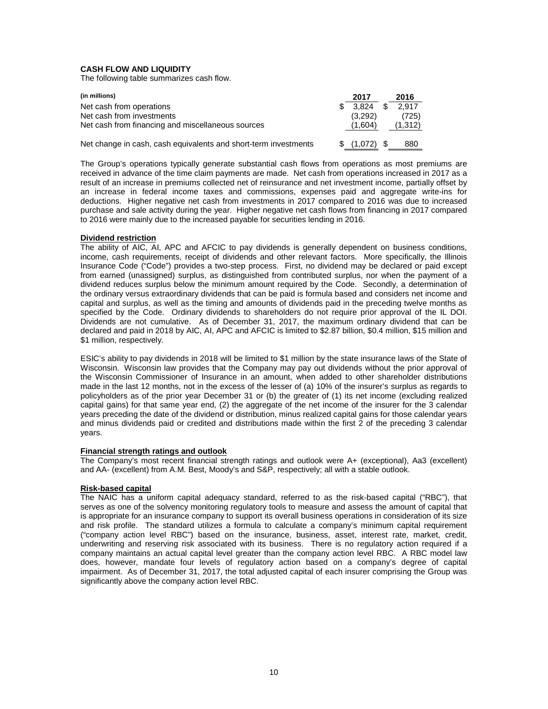# **CASH FLOW AND LIQUIDITY**

The following table summarizes cash flow.

| (in millions)                                                   | 2017    | 2016        |
|-----------------------------------------------------------------|---------|-------------|
| Net cash from operations                                        | 3.824   | \$<br>2.917 |
| Net cash from investments                                       | (3.292) | (725)       |
| Net cash from financing and miscellaneous sources               | (1.604) | (1, 312)    |
|                                                                 |         |             |
| Net change in cash, cash equivalents and short-term investments | (1,072) | 880         |

The Group's operations typically generate substantial cash flows from operations as most premiums are received in advance of the time claim payments are made. Net cash from operations increased in 2017 as a result of an increase in premiums collected net of reinsurance and net investment income, partially offset by an increase in federal income taxes and commissions, expenses paid and aggregate write-ins for deductions. Higher negative net cash from investments in 2017 compared to 2016 was due to increased purchase and sale activity during the year. Higher negative net cash flows from financing in 2017 compared to 2016 were mainly due to the increased payable for securities lending in 2016.

#### **Dividend restriction**

The ability of AIC, AI, APC and AFCIC to pay dividends is generally dependent on business conditions, income, cash requirements, receipt of dividends and other relevant factors. More specifically, the Illinois Insurance Code ("Code") provides a two-step process. First, no dividend may be declared or paid except from earned (unassigned) surplus, as distinguished from contributed surplus, nor when the payment of a dividend reduces surplus below the minimum amount required by the Code. Secondly, a determination of the ordinary versus extraordinary dividends that can be paid is formula based and considers net income and capital and surplus, as well as the timing and amounts of dividends paid in the preceding twelve months as specified by the Code. Ordinary dividends to shareholders do not require prior approval of the IL DOI. Dividends are not cumulative. As of December 31, 2017, the maximum ordinary dividend that can be declared and paid in 2018 by AIC, AI, APC and AFCIC is limited to \$2.87 billion, \$0.4 million, \$15 million and \$1 million, respectively.

ESIC's ability to pay dividends in 2018 will be limited to \$1 million by the state insurance laws of the State of Wisconsin. Wisconsin law provides that the Company may pay out dividends without the prior approval of the Wisconsin Commissioner of Insurance in an amount, when added to other shareholder distributions made in the last 12 months, not in the excess of the lesser of (a) 10% of the insurer's surplus as regards to policyholders as of the prior year December 31 or (b) the greater of (1) its net income (excluding realized capital gains) for that same year end, (2) the aggregate of the net income of the insurer for the 3 calendar years preceding the date of the dividend or distribution, minus realized capital gains for those calendar years and minus dividends paid or credited and distributions made within the first 2 of the preceding 3 calendar years.

#### **Financial strength ratings and outlook**

The Company's most recent financial strength ratings and outlook were A+ (exceptional), Aa3 (excellent) and AA- (excellent) from A.M. Best, Moody's and S&P, respectively; all with a stable outlook.

# **Risk-based capital**

The NAIC has a uniform capital adequacy standard, referred to as the risk-based capital ("RBC"), that serves as one of the solvency monitoring regulatory tools to measure and assess the amount of capital that is appropriate for an insurance company to support its overall business operations in consideration of its size and risk profile. The standard utilizes a formula to calculate a company's minimum capital requirement ("company action level RBC") based on the insurance, business, asset, interest rate, market, credit, underwriting and reserving risk associated with its business. There is no regulatory action required if a company maintains an actual capital level greater than the company action level RBC. A RBC model law does, however, mandate four levels of regulatory action based on a company's degree of capital impairment. As of December 31, 2017, the total adjusted capital of each insurer comprising the Group was significantly above the company action level RBC.